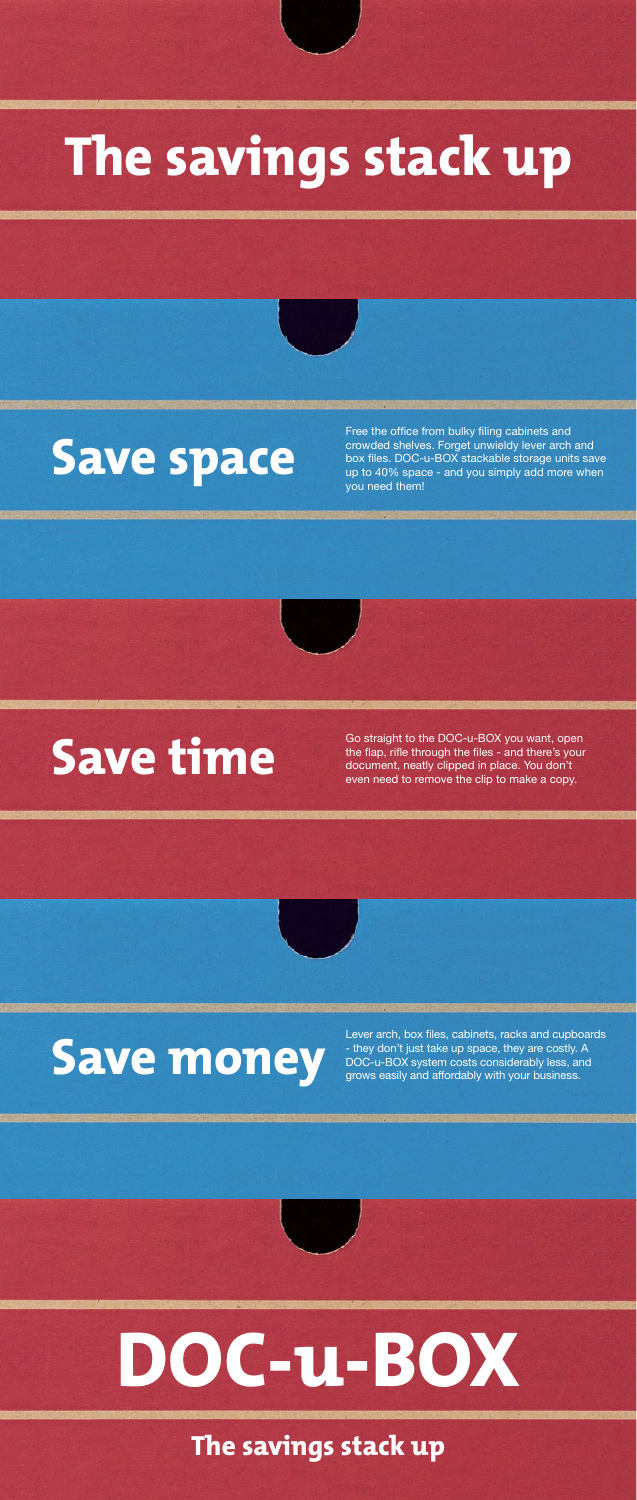## **The savings stack up**

### **Save space**

### **Save time**

## **Save money**

## **DOC-u-BOX**

Free the office from bulky filing cabinets and crowded shelves. Forget unwieldy lever arch and box files. DOC-u-BOX stackable storage units save up to 40% space - and you simply add more when you need them!

Go straight to the DOC-u-BOX you want, open the flap, rifle through the files - and there's your document, neatly clipped in place. You don't even need to remove the clip to make a copy.

Lever arch, box files, cabinets, racks and cupboards - they don't just take up space, they are costly. A DOC-u-BOX system costs considerably less, and grows easily and affordably with your business.

**The savings stack up**